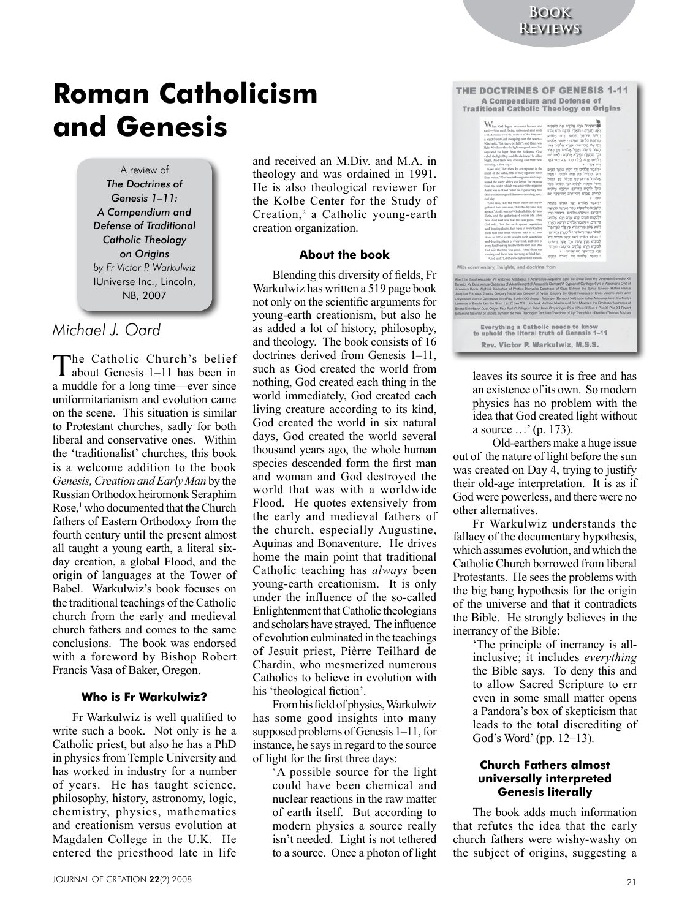THE DOCTRINES OF GENESIS 1-11

# **Roman Catholicism and Genesis**

A review of *The Doctrines of Genesis 1–11: A Compendium and Defense of Traditional Catholic Theology on Origins by Fr Victor P. Warkulwiz* IUniverse Inc., Lincoln, NB, 2007

## *Michael J. Oard*

The Catholic Church's belief about Genesis 1–11 has been in a muddle for a long time—ever since uniformitarianism and evolution came on the scene. This situation is similar to Protestant churches, sadly for both liberal and conservative ones. Within the 'traditionalist' churches, this book is a welcome addition to the book *Genesis, Creation and Early Man* by the Russian Orthodox heiromonk Seraphim Rose,<sup>1</sup> who documented that the Church fathers of Eastern Orthodoxy from the fourth century until the present almost all taught a young earth, a literal sixday creation, a global Flood, and the origin of languages at the Tower of Babel. Warkulwiz's book focuses on the traditional teachings of the Catholic church from the early and medieval church fathers and comes to the same conclusions. The book was endorsed with a foreword by Bishop Robert Francis Vasa of Baker, Oregon.

#### **Who is Fr Warkulwiz**?

Fr Warkulwiz is well qualified to write such a book. Not only is he a Catholic priest, but also he has a PhD in physics from Temple University and has worked in industry for a number of years. He has taught science, philosophy, history, astronomy, logic, chemistry, physics, mathematics and creationism versus evolution at Magdalen College in the U.K. He entered the priesthood late in life

and received an M.Div. and M.A. in theology and was ordained in 1991. He is also theological reviewer for the Kolbe Center for the Study of Creation,<sup>2</sup> a Catholic young-earth creation organization.

#### **About the book**

Blending this diversity of fields, Fr Warkulwiz has written a 519 page book not only on the scientific arguments for young-earth creationism, but also he as added a lot of history, philosophy, and theology. The book consists of 16 doctrines derived from Genesis 1–11, such as God created the world from nothing, God created each thing in the world immediately, God created each living creature according to its kind, God created the world in six natural days, God created the world several thousand years ago, the whole human species descended form the first man and woman and God destroyed the world that was with a worldwide Flood. He quotes extensively from the early and medieval fathers of the church, especially Augustine, Aquinas and Bonaventure. He drives home the main point that traditional Catholic teaching has *always* been young-earth creationism. It is only under the influence of the so-called Enlightenment that Catholic theologians and scholars have strayed. The influence of evolution culminated in the teachings of Jesuit priest, Pièrre Teilhard de Chardin, who mesmerized numerous Catholics to believe in evolution with his 'theological fiction'.

From his field of physics, Warkulwiz has some good insights into many supposed problems of Genesis 1–11, for instance, he says in regard to the source of light for the first three days:

'A possible source for the light could have been chemical and nuclear reactions in the raw matter of earth itself. But according to modern physics a source really isn't needed. Light is not tethered to a source. Once a photon of light

| <b>A Compendium and Defense of</b>                                                                                                                                                                                                                                                                                                                                                                                                                                                                                                                                                                                                                                                                                                                                                                                                                                                                                                                                                                                                                                                                                                                                                                                                                                                                                                                                                                                                                                                                                                                                                                                                                                                                                                                                                                                                                                                                                                                                                                                                                                                                                                                                                                                                                                                                                                                                                                                                                                                                                                                                                                                           |
|------------------------------------------------------------------------------------------------------------------------------------------------------------------------------------------------------------------------------------------------------------------------------------------------------------------------------------------------------------------------------------------------------------------------------------------------------------------------------------------------------------------------------------------------------------------------------------------------------------------------------------------------------------------------------------------------------------------------------------------------------------------------------------------------------------------------------------------------------------------------------------------------------------------------------------------------------------------------------------------------------------------------------------------------------------------------------------------------------------------------------------------------------------------------------------------------------------------------------------------------------------------------------------------------------------------------------------------------------------------------------------------------------------------------------------------------------------------------------------------------------------------------------------------------------------------------------------------------------------------------------------------------------------------------------------------------------------------------------------------------------------------------------------------------------------------------------------------------------------------------------------------------------------------------------------------------------------------------------------------------------------------------------------------------------------------------------------------------------------------------------------------------------------------------------------------------------------------------------------------------------------------------------------------------------------------------------------------------------------------------------------------------------------------------------------------------------------------------------------------------------------------------------------------------------------------------------------------------------------------------------|
| <b>Traditional Catholic Theology on Origins</b><br>hen God began to create beaven and<br>הראשית" ברא אלווים את האופוס<br>earts->the earth being unformed and void,<br>האת מארץ: יחסארץ מהמה המה המהו<br>with darkness over the surface of the deep and<br>וחשף עליפני מהום ורוח אלחים<br>a wind from? God sweeping over the water-<br>מרספת עליפני המוס ו יולאמר אלוזים<br>Nied said, "Let there be light"; and there was<br>יתי אור מסייאור: ימיא אלסים את:<br>light. *God saw that the light was good, and God<br>האור מישוב הכול אלהים בין האור<br>separated the light from the darkness, Nied<br>וכין החשר: יחקרא אלהים ו לאור יום<br>called the light Day, and the darkness He called<br>ולהיש את לילה מהייעוב מהייבטר<br>Night, And there was evening and there was<br>a ros ut-<br>moming, a first day./<br>4God said, "Let there be an expanse in the<br>- רַאמַר אַלֹהִים יְהֵי רַקֵּיְע בְּהַוֹךְ הַפְּיָם<br>midst of the water, that it may separate water<br>ויהי מבחיל בין מים למים: יוינש<br>from water." 'God madethe expanse, and it sep-<br>אלהים' את־הרטיע' ויבול בין הפים<br>arated the water which was below the expanse<br>אשר מתחת לרליא וכיו הפית אשר<br>from the water which was above the expense.<br>טעל לרקיא הטייכן: והיפרא אלהים<br>And it was so. 'God called the expanse Sky. And<br>לרקיא שפים ההייערב ההייבקר יום<br>there was evening and there was morning, a sec-<br>a row<br>ced day.<br>%God said, "Let the water below the sky be<br>יראמר אללוים ישא הפים מהחת<br>gathered into one area, that the dry land may<br>השפים אלימקום אחר ותראה מאועה<br>appear." And it was so. "God called the dry land<br>מסייכן: = מקוא אלטים ו ליבשה ארץ<br>Earth, and the gathering of voters He called<br>ולמקוה הפוס קרא ימים פרא אלהים<br>Seas. And God saw that this was good. 19trd<br>נרשוב: וו ואמר אלחים הרשא הארץ<br>God said, "Let the earth sprout vegetation:<br>וינוא עשה מזריג ורע עץ פרי עשה פרי<br>seed-bearing plants, fruit trees of every kind on<br>למינו אפר ורערבו על הארץ ויהייכן:<br>earth that bear fruit with the seed in it." And<br>" וחוצא הפרץ רשא צשם מזריע ביל<br>it was an. <sup>10</sup> The earth brought forth vegetations<br>seel-bearing plants of every kind, and trees of<br>לסיטתו הכץ עשה פרי אוור זרערבו<br>every kind bearing fruit with the seed in it. And<br>לסינהו וירא אלהים ברטוב: יורחר<br>God saw that this was good. "Med there was<br>צרג ההייבסר יום שליעי: a<br>evening and there was morning, a third day.<br>ייראמר אלהים יהי מאלה ברכיצ<br>Häod said,"Let therebe lights in the expanse<br>With commentary, insights, and doctrine from |
| Abert the Great Alexander VII Ambrose Anastasius II Athanasius Augustine Basil the Great Bede the Venerable Benedict XII<br>Benedict XV Bonaventure Caesarius of Arles Clement of Alexandria Gement VI Cyprian of Carthage Cyril of Alexandria Cyril of<br>Jerusalem Dante Alighieri Diadoshua of Photice Dionyalus Dorotheus of Gaza Ephrsen the Syrian Ernesto Ruffini Flavius<br>Josephus Francisco Suarez Gregory Nazianzen Gregory of Nyssa Gregory the Great Irenaeus of Lyons Jeroma John John<br>Chrysostom John of Damasous John Paul 8 John XXII Joseph Ratzinger (Benedict XVI) Jude Julius Africanus Justin the Martyr<br>Lawrence of Brindisi Leo the Great Leo DCLeo XIII Luke Mark Matthew Maximus of Turin Maximus the Contessor Nemesius of<br>Emesa Nicholas of Cusa Origen Paul Paul VI Pelagius I Peter Peter Chrysologus Pius II Pius IX Pius X Pius XI Pius XII Robert<br>Bellarmine Severian of Gabala Symeon the New Theologian Tertullian Theodoret of Cyr Theophilus of Antioch Thomas Aquinas                                                                                                                                                                                                                                                                                                                                                                                                                                                                                                                                                                                                                                                                                                                                                                                                                                                                                                                                                                                                                                                                                                                                                                                                                                                                                                                                                                                                                                                                                                                                                                                                     |
| Everything a Catholic needs to know<br>to uphold the literal truth of Genesis 1-11                                                                                                                                                                                                                                                                                                                                                                                                                                                                                                                                                                                                                                                                                                                                                                                                                                                                                                                                                                                                                                                                                                                                                                                                                                                                                                                                                                                                                                                                                                                                                                                                                                                                                                                                                                                                                                                                                                                                                                                                                                                                                                                                                                                                                                                                                                                                                                                                                                                                                                                                           |
| $D_{AV}$ Victor $D$ Warkulwiz, $M.S.S.$                                                                                                                                                                                                                                                                                                                                                                                                                                                                                                                                                                                                                                                                                                                                                                                                                                                                                                                                                                                                                                                                                                                                                                                                                                                                                                                                                                                                                                                                                                                                                                                                                                                                                                                                                                                                                                                                                                                                                                                                                                                                                                                                                                                                                                                                                                                                                                                                                                                                                                                                                                                      |

leaves its source it is free and has an existence of its own. So modern physics has no problem with the idea that God created light without a source …' (p. 173).

Old-earthers make a huge issue out of the nature of light before the sun was created on Day 4, trying to justify their old-age interpretation. It is as if God were powerless, and there were no other alternatives.

Fr Warkulwiz understands the fallacy of the documentary hypothesis, which assumes evolution, and which the Catholic Church borrowed from liberal Protestants. He sees the problems with the big bang hypothesis for the origin of the universe and that it contradicts the Bible. He strongly believes in the inerrancy of the Bible:

'The principle of inerrancy is allinclusive; it includes *everything* the Bible says. To deny this and to allow Sacred Scripture to err even in some small matter opens a Pandora's box of skepticism that leads to the total discrediting of God's Word' (pp. 12–13).

### **Church Fathers almost universally interpreted Genesis literally**

The book adds much information that refutes the idea that the early church fathers were wishy-washy on the subject of origins, suggesting a